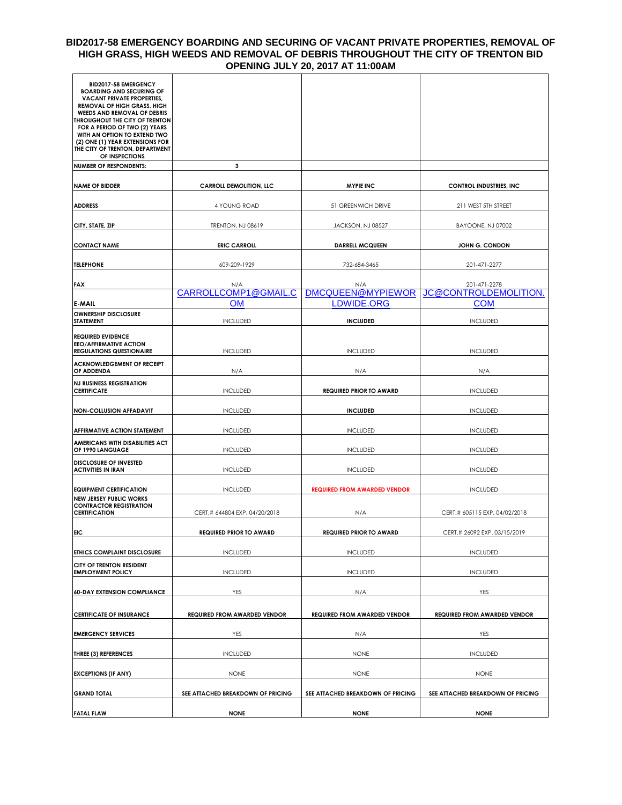#### **BID2017-58 EMERGENCY BOARDING AND SECURING OF VACANT PRIVATE PROPERTIES, REMOVAL OF HIGH GRASS, HIGH WEEDS AND REMOVAL OF DEBRIS THROUGHOUT THE CITY OF TRENTON BID OPENING JULY 20, 2017 AT 11:00AM**

| <b>BID2017-58 EMERGENCY</b><br><b>BOARDING AND SECURING OF</b><br><b>VACANT PRIVATE PROPERTIES,</b><br><b>REMOVAL OF HIGH GRASS, HIGH</b><br><b>WEEDS AND REMOVAL OF DEBRIS</b><br>THROUGHOUT THE CITY OF TRENTON<br>FOR A PERIOD OF TWO (2) YEARS<br>WITH AN OPTION TO EXTEND TWO<br>(2) ONE (1) YEAR EXTENSIONS FOR<br>THE CITY OF TRENTON, DEPARTMENT<br>OF INSPECTIONS |                                     |                                        |                                       |
|----------------------------------------------------------------------------------------------------------------------------------------------------------------------------------------------------------------------------------------------------------------------------------------------------------------------------------------------------------------------------|-------------------------------------|----------------------------------------|---------------------------------------|
| <b>NUMBER OF RESPONDENTS:</b>                                                                                                                                                                                                                                                                                                                                              | 3                                   |                                        |                                       |
| <b>NAME OF BIDDER</b>                                                                                                                                                                                                                                                                                                                                                      | <b>CARROLL DEMOLITION, LLC</b>      | <b>MYPIE INC</b>                       | <b>CONTROL INDUSTRIES, INC.</b>       |
| <b>ADDRESS</b>                                                                                                                                                                                                                                                                                                                                                             | 4 YOUNG ROAD                        | 51 GREENWICH DRIVE                     | 211 WEST 5TH STREET                   |
| CITY, STATE, ZIP                                                                                                                                                                                                                                                                                                                                                           | <b>TRENTON, NJ 08619</b>            | JACKSON, NJ 08527                      | BAYOONE, NJ 07002                     |
| <b>CONTACT NAME</b>                                                                                                                                                                                                                                                                                                                                                        | <b>ERIC CARROLL</b>                 | <b>DARRELL MCQUEEN</b>                 | JOHN G. CONDON                        |
| <b>TELEPHONE</b>                                                                                                                                                                                                                                                                                                                                                           | 609-209-1929                        | 732-684-3465                           | 201-471-2277                          |
| <b>FAX</b><br><b>E-MAIL</b>                                                                                                                                                                                                                                                                                                                                                | N/A<br>CARROLLCOMP1@GMAIL.C         | N/A<br>DMCQUEEN@MYPIEWOR<br>LDWIDE.ORG | 201-471-2278<br>JC@CONTROLDEMOLITION. |
| <b>OWNERSHIP DISCLOSURE</b>                                                                                                                                                                                                                                                                                                                                                | <b>OM</b>                           |                                        | COM                                   |
| <b>STATEMENT</b>                                                                                                                                                                                                                                                                                                                                                           | <b>INCLUDED</b>                     | <b>INCLUDED</b>                        | <b>INCLUDED</b>                       |
| <b>REQUIRED EVIDENCE</b><br><b>EEO/AFFIRMATIVE ACTION</b><br><b>REGULATIONS QUESTIONAIRE</b>                                                                                                                                                                                                                                                                               | <b>INCLUDED</b>                     | <b>INCLUDED</b>                        | <b>INCLUDED</b>                       |
| <b>ACKNOWLEDGEMENT OF RECEIPT</b><br>OF ADDENDA                                                                                                                                                                                                                                                                                                                            | N/A                                 | N/A                                    | N/A                                   |
| <b>NJ BUSINESS REGISTRATION</b><br><b>CERTIFICATE</b>                                                                                                                                                                                                                                                                                                                      | <b>INCLUDED</b>                     | <b>REQUIRED PRIOR TO AWARD</b>         | <b>INCLUDED</b>                       |
| <b>NON-COLLUSION AFFADAVIT</b>                                                                                                                                                                                                                                                                                                                                             | <b>INCLUDED</b>                     | <b>INCLUDED</b>                        | <b>INCLUDED</b>                       |
| AFFIRMATIVE ACTION STATEMENT                                                                                                                                                                                                                                                                                                                                               | <b>INCLUDED</b>                     | <b>INCLUDED</b>                        | <b>INCLUDED</b>                       |
| <b>AMERICANS WITH DISABILITIES ACT</b><br>OF 1990 LANGUAGE                                                                                                                                                                                                                                                                                                                 | <b>INCLUDED</b>                     | <b>INCLUDED</b>                        | <b>INCLUDED</b>                       |
| <b>DISCLOSURE OF INVESTED</b><br><b>ACTIVITIES IN IRAN</b>                                                                                                                                                                                                                                                                                                                 | <b>INCLUDED</b>                     | <b>INCLUDED</b>                        | <b>INCLUDED</b>                       |
|                                                                                                                                                                                                                                                                                                                                                                            |                                     |                                        |                                       |
| <b>EQUIPMENT CERTIFICATION</b><br><b>NEW JERSEY PUBLIC WORKS</b>                                                                                                                                                                                                                                                                                                           | <b>INCLUDED</b>                     | <b>REQUIRED FROM AWARDED VENDOR</b>    | <b>INCLUDED</b>                       |
| <b>CONTRACTOR REGISTRATION</b><br><b>CERTIFICATION</b>                                                                                                                                                                                                                                                                                                                     | CERT.# 644804 EXP. 04/20/2018       | N/A                                    | CERT.# 605115 EXP. 04/02/2018         |
| <b>EIC</b>                                                                                                                                                                                                                                                                                                                                                                 | <b>REQUIRED PRIOR TO AWARD</b>      | <b>REQUIRED PRIOR TO AWARD</b>         | CERT.# 26092 EXP. 03/15/2019          |
| ETHICS COMPLAINT DISCLOSURE                                                                                                                                                                                                                                                                                                                                                | <b>INCLUDED</b>                     | <b>INCLUDED</b>                        | <b>INCLUDED</b>                       |
| CITY OF TRENTON RESIDENT<br><b>EMPLOYMENT POLICY</b>                                                                                                                                                                                                                                                                                                                       | <b>INCLUDED</b>                     | <b>INCLUDED</b>                        | <b>INCLUDED</b>                       |
| <b>60-DAY EXTENSION COMPLIANCE</b>                                                                                                                                                                                                                                                                                                                                         | YES                                 | N/A                                    | YES                                   |
| <b>CERTIFICATE OF INSURANCE</b>                                                                                                                                                                                                                                                                                                                                            | <b>REQUIRED FROM AWARDED VENDOR</b> | <b>REQUIRED FROM AWARDED VENDOR</b>    | <b>REQUIRED FROM AWARDED VENDOR</b>   |
| <b>EMERGENCY SERVICES</b>                                                                                                                                                                                                                                                                                                                                                  | YES                                 | N/A                                    | YES                                   |
| THREE (3) REFERENCES                                                                                                                                                                                                                                                                                                                                                       | <b>INCLUDED</b>                     | <b>NONE</b>                            | <b>INCLUDED</b>                       |
| <b>EXCEPTIONS (IF ANY)</b>                                                                                                                                                                                                                                                                                                                                                 | <b>NONE</b>                         | <b>NONE</b>                            | <b>NONE</b>                           |
| <b>GRAND TOTAL</b>                                                                                                                                                                                                                                                                                                                                                         | SEE ATTACHED BREAKDOWN OF PRICING   | SEE ATTACHED BREAKDOWN OF PRICING      | SEE ATTACHED BREAKDOWN OF PRICING     |
| <b>FATAL FLAW</b>                                                                                                                                                                                                                                                                                                                                                          | <b>NONE</b>                         | <b>NONE</b>                            | <b>NONE</b>                           |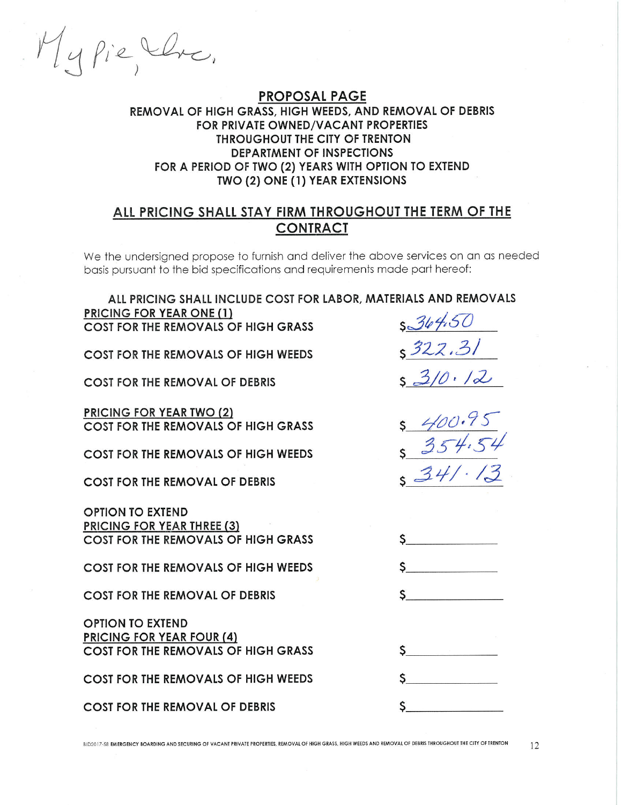My Pie, Che,

# **PROPOSAL PAGE**

### REMOVAL OF HIGH GRASS, HIGH WEEDS, AND REMOVAL OF DEBRIS FOR PRIVATE OWNED/VACANT PROPERTIES **THROUGHOUT THE CITY OF TRENTON DEPARTMENT OF INSPECTIONS** FOR A PERIOD OF TWO (2) YEARS WITH OPTION TO EXTEND TWO (2) ONE (1) YEAR EXTENSIONS

# ALL PRICING SHALL STAY FIRM THROUGHOUT THE TERM OF THE **CONTRACT**

We the undersigned propose to furnish and deliver the above services on an as needed basis pursuant to the bid specifications and requirements made part hereof:

| ALL PRICING SHALL INCLUDE COST FOR LABOR, MATERIALS AND REMOVALS                                           |                              |
|------------------------------------------------------------------------------------------------------------|------------------------------|
| <b>PRICING FOR YEAR ONE (1)</b><br>COST FOR THE REMOVALS OF HIGH GRASS                                     | $s\frac{364.50}{50}$         |
| COST FOR THE REMOVALS OF HIGH WEEDS                                                                        | s322.31                      |
| COST FOR THE REMOVAL OF DEBRIS                                                                             | $s\frac{3}{0}\cdot l\lambda$ |
| <b>PRICING FOR YEAR TWO (2)</b><br>COST FOR THE REMOVALS OF HIGH GRASS                                     | $\frac{400.95}{354.54}$      |
| COST FOR THE REMOVALS OF HIGH WEEDS                                                                        |                              |
| <b>COST FOR THE REMOVAL OF DEBRIS</b>                                                                      | $\frac{1}{1}$ 34/ $\cdot$ /3 |
| <b>OPTION TO EXTEND</b><br><b>PRICING FOR YEAR THREE (3)</b><br><b>COST FOR THE REMOVALS OF HIGH GRASS</b> |                              |
| COST FOR THE REMOVALS OF HIGH WEEDS                                                                        |                              |
| <b>COST FOR THE REMOVAL OF DEBRIS</b>                                                                      |                              |
| <b>OPTION TO EXTEND</b><br><b>PRICING FOR YEAR FOUR (4)</b><br><b>COST FOR THE REMOVALS OF HIGH GRASS</b>  | S                            |
| <b>COST FOR THE REMOVALS OF HIGH WEEDS</b>                                                                 | S.                           |
| <b>COST FOR THE REMOVAL OF DEBRIS</b>                                                                      | $\mathsf{S}$                 |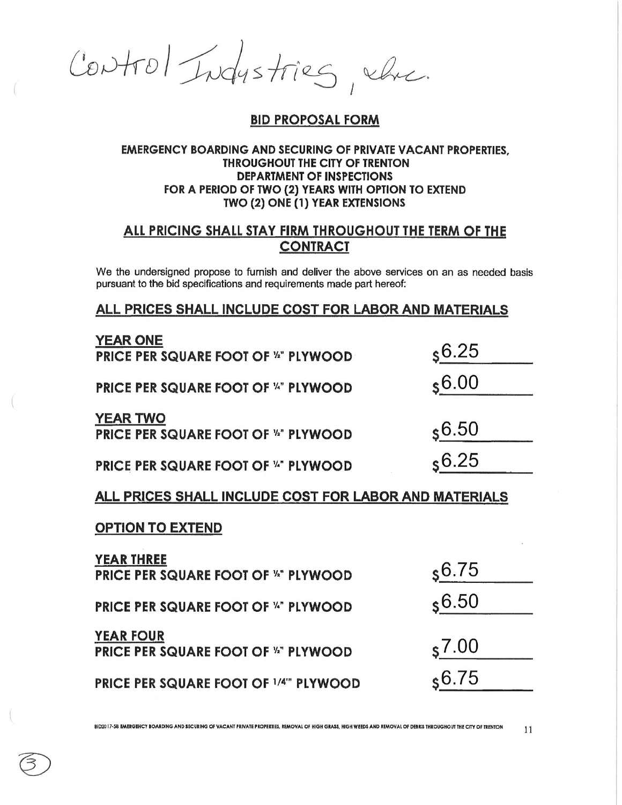Control Industries, when

### **BID PROPOSAL FORM**

#### **EMERGENCY BOARDING AND SECURING OF PRIVATE VACANT PROPERTIES. THROUGHOUT THE CITY OF TRENTON DEPARTMENT OF INSPECTIONS** FOR A PERIOD OF TWO (2) YEARS WITH OPTION TO EXTEND TWO (2) ONE (1) YEAR EXTENSIONS

## ALL PRICING SHALL STAY FIRM THROUGHOUT THE TERM OF THE **CONTRACT**

We the undersigned propose to furnish and deliver the above services on an as needed basis pursuant to the bid specifications and requirements made part hereof:

### ALL PRICES SHALL INCLUDE COST FOR LABOR AND MATERIALS

| <b>YEAR ONE</b><br>PRICE PER SQUARE FOOT OF <sup>1/2</sup> PLYWOOD | \$6.25            |
|--------------------------------------------------------------------|-------------------|
| <b>PRICE PER SQUARE FOOT OF "" PLYWOOD</b>                         | \$6.00            |
| <b>YEAR TWO</b><br><b>PRICE PER SQUARE FOOT OF 1/2" PLYWOOD</b>    | $\frac{1}{5}6.50$ |
| PRICE PER SQUARE FOOT OF "" PLYWOOD                                | \$6.25            |

### ALL PRICES SHALL INCLUDE COST FOR LABOR AND MATERIALS

### **OPTION TO EXTEND**

| <b>YEAR THREE</b><br><b>PRICE PER SQUARE FOOT OF "" PLYWOOD</b>  | 56.75             |
|------------------------------------------------------------------|-------------------|
| <b>PRICE PER SQUARE FOOT OF "" PLYWOOD</b>                       | $\frac{1}{5}6.50$ |
| <b>YEAR FOUR</b><br><b>PRICE PER SQUARE FOOT OF 1/2" PLYWOOD</b> | $S$ 7.00          |
| PRICE PER SQUARE FOOT OF 1/4" PLYWOOD                            | \$6.75            |